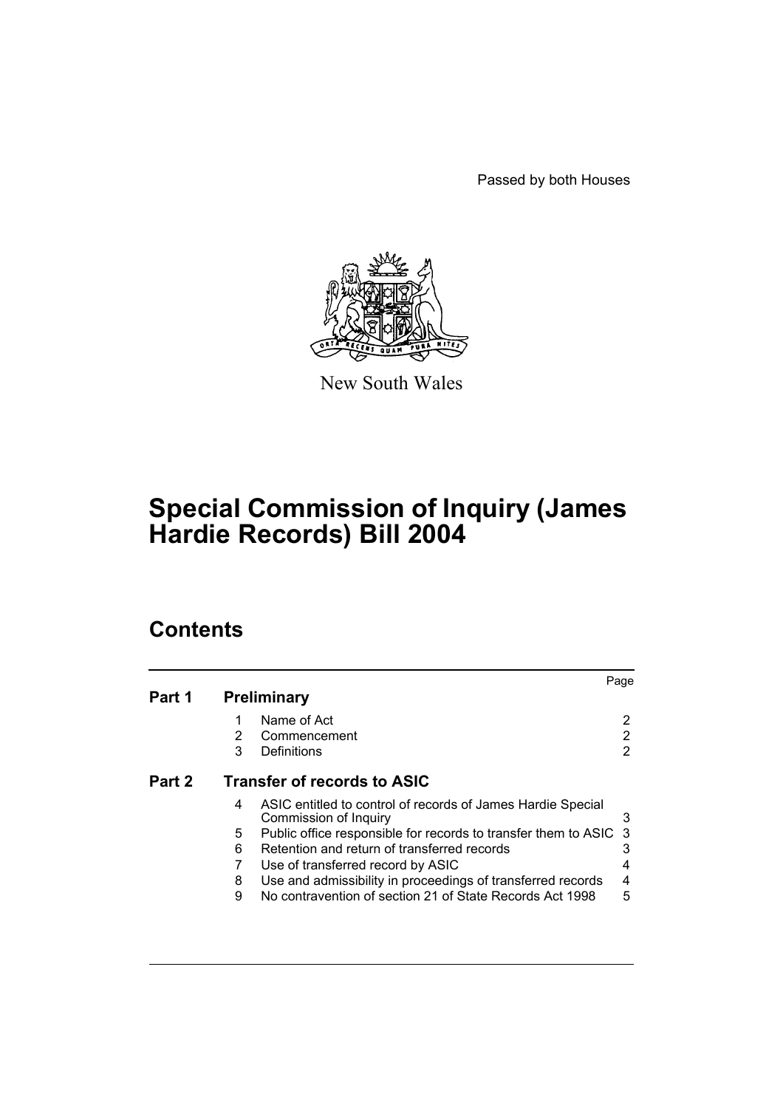Passed by both Houses



New South Wales

# **Special Commission of Inquiry (James Hardie Records) Bill 2004**

# **Contents**

| Part 1 |                                    | <b>Preliminary</b>                                                                   | Page |  |
|--------|------------------------------------|--------------------------------------------------------------------------------------|------|--|
|        | 1                                  | Name of Act                                                                          | 2    |  |
|        | 2                                  | Commencement                                                                         | 2    |  |
|        | 3                                  | Definitions                                                                          | 2    |  |
| Part 2 | <b>Transfer of records to ASIC</b> |                                                                                      |      |  |
|        | 4                                  | ASIC entitled to control of records of James Hardie Special<br>Commission of Inquiry | 3    |  |
|        | 5                                  | Public office responsible for records to transfer them to ASIC                       | -3   |  |
|        | 6                                  | Retention and return of transferred records                                          |      |  |
|        |                                    | Use of transferred record by ASIC                                                    | 4    |  |
|        | 8                                  | Use and admissibility in proceedings of transferred records                          | 4    |  |
|        | 9                                  | No contravention of section 21 of State Records Act 1998                             | 5    |  |
|        |                                    |                                                                                      |      |  |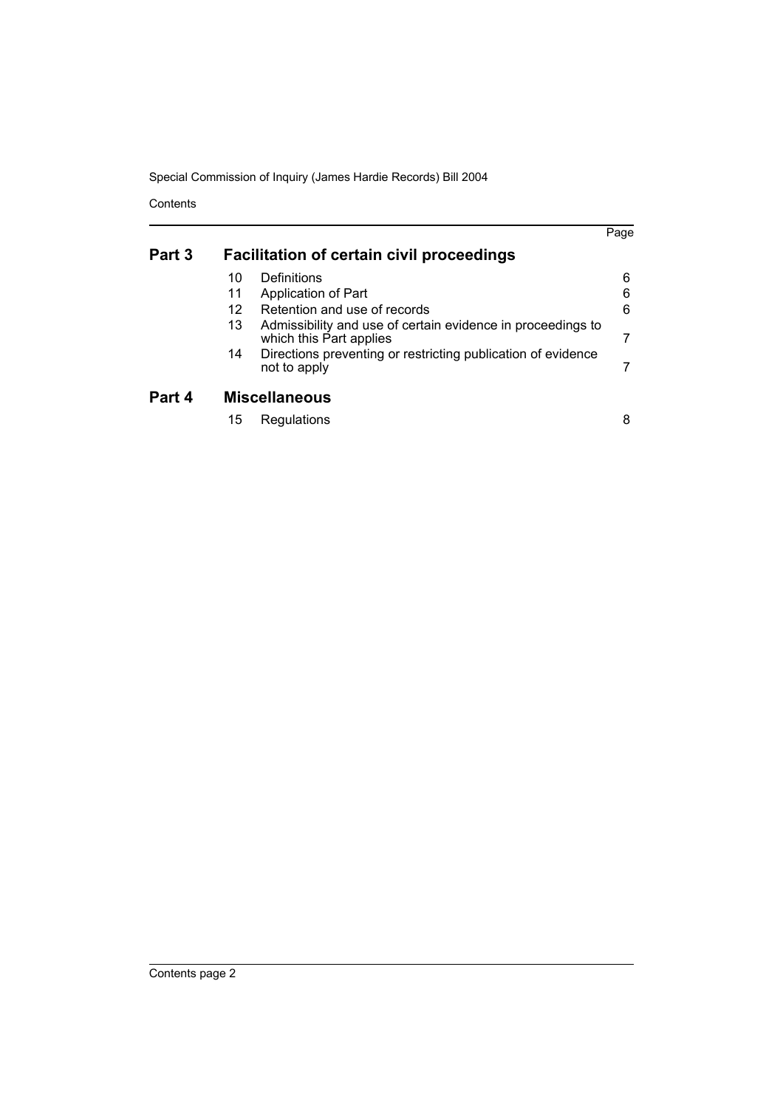Special Commission of Inquiry (James Hardie Records) Bill 2004

**Contents** 

|        |                                                  |                                                                                        | Page |  |
|--------|--------------------------------------------------|----------------------------------------------------------------------------------------|------|--|
| Part 3 | <b>Facilitation of certain civil proceedings</b> |                                                                                        |      |  |
|        | 10                                               | Definitions                                                                            | 6    |  |
|        | 11                                               | Application of Part                                                                    | 6    |  |
|        | 12                                               | Retention and use of records                                                           | 6    |  |
|        | 13                                               | Admissibility and use of certain evidence in proceedings to<br>which this Part applies |      |  |
|        | 14                                               | Directions preventing or restricting publication of evidence<br>not to apply           |      |  |
| Part 4 | <b>Miscellaneous</b>                             |                                                                                        |      |  |
|        | 15                                               | Regulations                                                                            | 8    |  |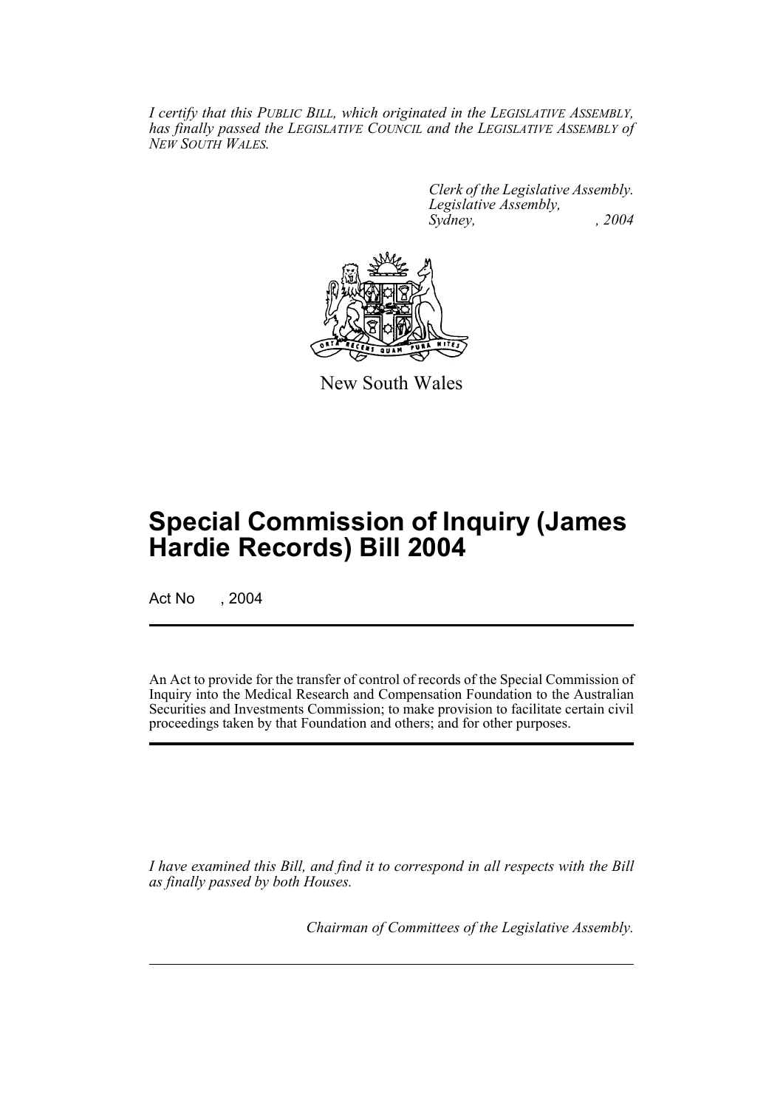*I certify that this PUBLIC BILL, which originated in the LEGISLATIVE ASSEMBLY, has finally passed the LEGISLATIVE COUNCIL and the LEGISLATIVE ASSEMBLY of NEW SOUTH WALES.*

> *Clerk of the Legislative Assembly. Legislative Assembly, Sydney, , 2004*



New South Wales

# **Special Commission of Inquiry (James Hardie Records) Bill 2004**

Act No , 2004

An Act to provide for the transfer of control of records of the Special Commission of Inquiry into the Medical Research and Compensation Foundation to the Australian Securities and Investments Commission; to make provision to facilitate certain civil proceedings taken by that Foundation and others; and for other purposes.

*I have examined this Bill, and find it to correspond in all respects with the Bill as finally passed by both Houses.*

*Chairman of Committees of the Legislative Assembly.*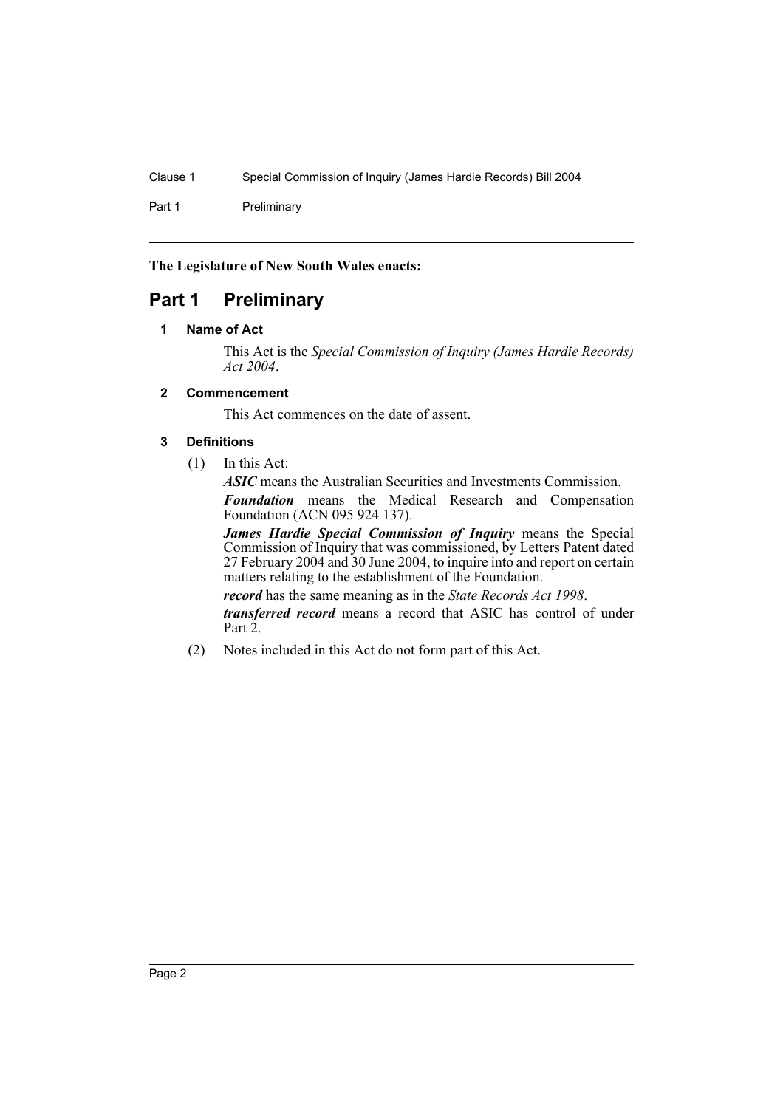Part 1 Preliminary

**The Legislature of New South Wales enacts:**

# **Part 1 Preliminary**

# **1 Name of Act**

This Act is the *Special Commission of Inquiry (James Hardie Records) Act 2004*.

# **2 Commencement**

This Act commences on the date of assent.

# **3 Definitions**

(1) In this Act:

*ASIC* means the Australian Securities and Investments Commission. *Foundation* means the Medical Research and Compensation

Foundation (ACN 095 924 137).

*James Hardie Special Commission of Inquiry* means the Special Commission of Inquiry that was commissioned, by Letters Patent dated 27 February 2004 and 30 June 2004, to inquire into and report on certain matters relating to the establishment of the Foundation.

*record* has the same meaning as in the *State Records Act 1998*.

*transferred record* means a record that ASIC has control of under Part 2.

(2) Notes included in this Act do not form part of this Act.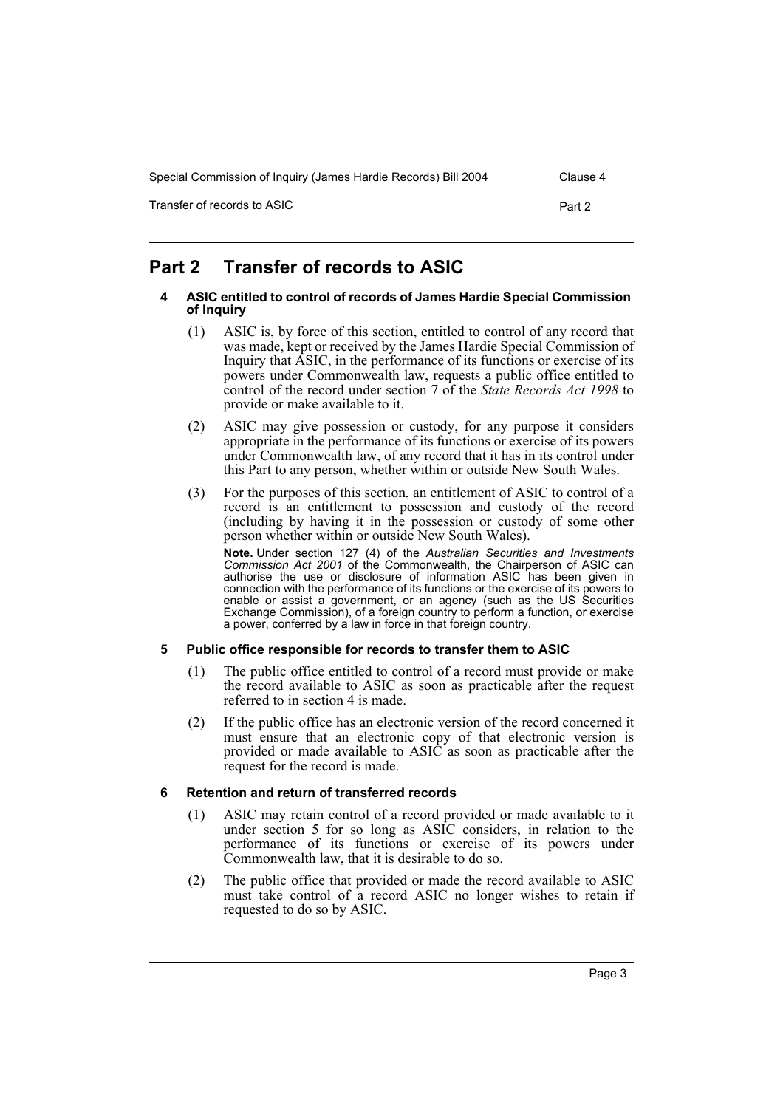| Special Commission of Inquiry (James Hardie Records) Bill 2004 | Clause 4 |
|----------------------------------------------------------------|----------|
| Transfer of records to ASIC                                    | Part 2   |

# **Part 2 Transfer of records to ASIC**

### **4 ASIC entitled to control of records of James Hardie Special Commission of Inquiry**

- (1) ASIC is, by force of this section, entitled to control of any record that was made, kept or received by the James Hardie Special Commission of Inquiry that ASIC, in the performance of its functions or exercise of its powers under Commonwealth law, requests a public office entitled to control of the record under section 7 of the *State Records Act 1998* to provide or make available to it.
- (2) ASIC may give possession or custody, for any purpose it considers appropriate in the performance of its functions or exercise of its powers under Commonwealth law, of any record that it has in its control under this Part to any person, whether within or outside New South Wales.
- (3) For the purposes of this section, an entitlement of ASIC to control of a record is an entitlement to possession and custody of the record (including by having it in the possession or custody of some other person whether within or outside New South Wales).

**Note.** Under section 127 (4) of the *Australian Securities and Investments Commission Act 2001* of the Commonwealth, the Chairperson of ASIC can authorise the use or disclosure of information ASIC has been given in connection with the performance of its functions or the exercise of its powers to enable or assist a government, or an agency (such as the US Securities Exchange Commission), of a foreign country to perform a function, or exercise a power, conferred by a law in force in that foreign country.

# **5 Public office responsible for records to transfer them to ASIC**

- (1) The public office entitled to control of a record must provide or make the record available to ASIC as soon as practicable after the request referred to in section 4 is made.
- (2) If the public office has an electronic version of the record concerned it must ensure that an electronic copy of that electronic version is provided or made available to ASIC as soon as practicable after the request for the record is made.

# **6 Retention and return of transferred records**

- (1) ASIC may retain control of a record provided or made available to it under section 5 for so long as ASIC considers, in relation to the performance of its functions or exercise of its powers under Commonwealth law, that it is desirable to do so.
- (2) The public office that provided or made the record available to ASIC must take control of a record ASIC no longer wishes to retain if requested to do so by ASIC.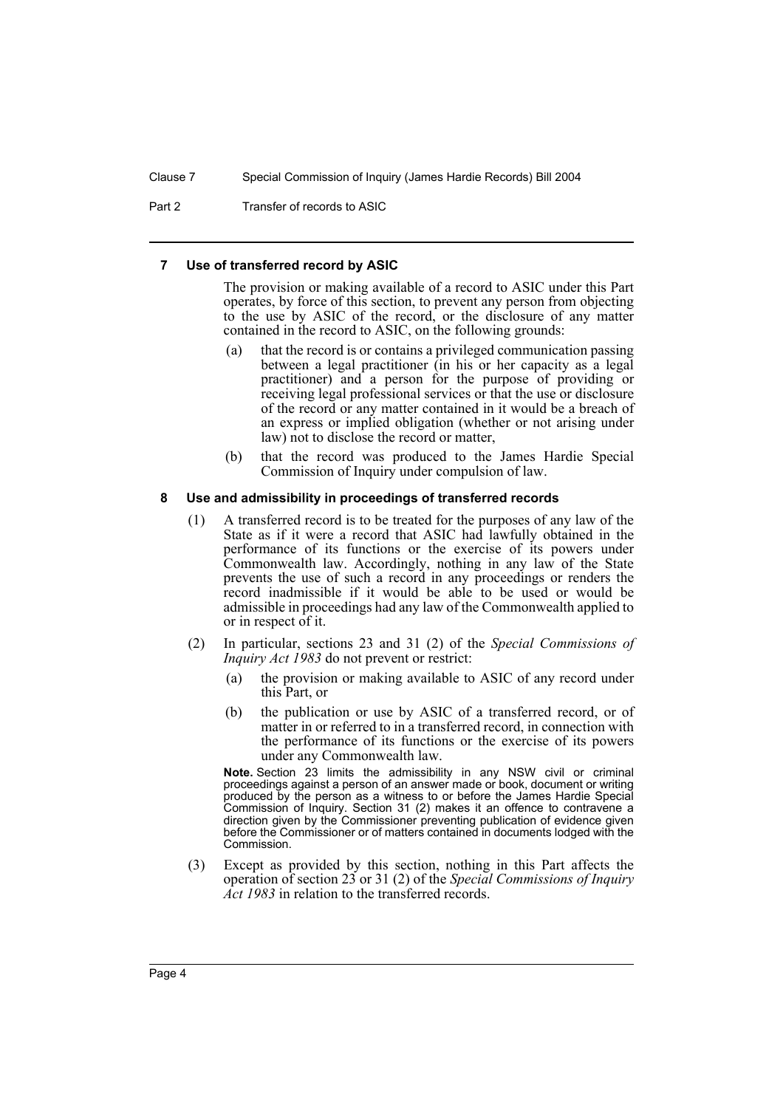Clause 7 Special Commission of Inquiry (James Hardie Records) Bill 2004

Part 2 Transfer of records to ASIC

#### **7 Use of transferred record by ASIC**

The provision or making available of a record to ASIC under this Part operates, by force of this section, to prevent any person from objecting to the use by ASIC of the record, or the disclosure of any matter contained in the record to ASIC, on the following grounds:

- (a) that the record is or contains a privileged communication passing between a legal practitioner (in his or her capacity as a legal practitioner) and a person for the purpose of providing or receiving legal professional services or that the use or disclosure of the record or any matter contained in it would be a breach of an express or implied obligation (whether or not arising under law) not to disclose the record or matter,
- (b) that the record was produced to the James Hardie Special Commission of Inquiry under compulsion of law.

#### **8 Use and admissibility in proceedings of transferred records**

- (1) A transferred record is to be treated for the purposes of any law of the State as if it were a record that ASIC had lawfully obtained in the performance of its functions or the exercise of its powers under Commonwealth law. Accordingly, nothing in any law of the State prevents the use of such a record in any proceedings or renders the record inadmissible if it would be able to be used or would be admissible in proceedings had any law of the Commonwealth applied to or in respect of it.
- (2) In particular, sections 23 and 31 (2) of the *Special Commissions of Inquiry Act 1983* do not prevent or restrict:
	- (a) the provision or making available to ASIC of any record under this Part, or
	- (b) the publication or use by ASIC of a transferred record, or of matter in or referred to in a transferred record, in connection with the performance of its functions or the exercise of its powers under any Commonwealth law.

**Note.** Section 23 limits the admissibility in any NSW civil or criminal proceedings against a person of an answer made or book, document or writing produced by the person as a witness to or before the James Hardie Special Commission of Inquiry. Section 31 (2) makes it an offence to contravene a direction given by the Commissioner preventing publication of evidence given before the Commissioner or of matters contained in documents lodged with the Commission.

(3) Except as provided by this section, nothing in this Part affects the operation of section 23 or 31 (2) of the *Special Commissions of Inquiry Act 1983* in relation to the transferred records.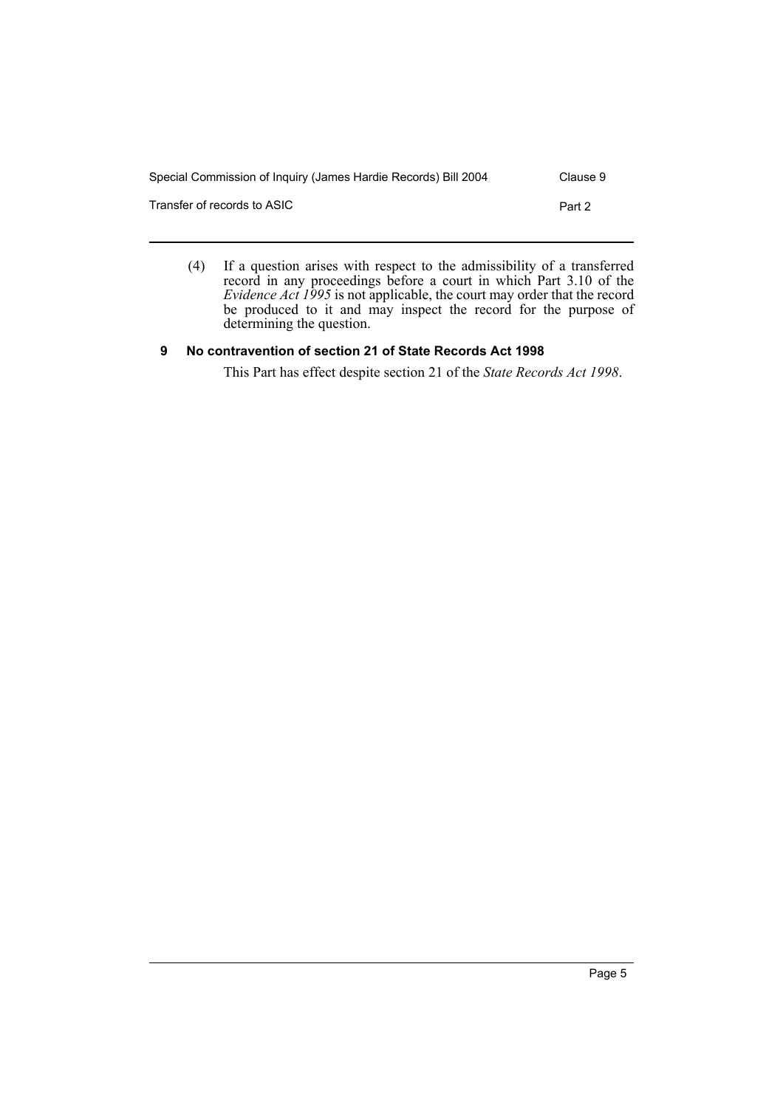| Special Commission of Inquiry (James Hardie Records) Bill 2004 | Clause 9 |
|----------------------------------------------------------------|----------|
| Transfer of records to ASIC                                    | Part 2   |
|                                                                |          |

(4) If a question arises with respect to the admissibility of a transferred record in any proceedings before a court in which Part 3.10 of the *Evidence Act 1995* is not applicable, the court may order that the record be produced to it and may inspect the record for the purpose of determining the question.

# **9 No contravention of section 21 of State Records Act 1998**

This Part has effect despite section 21 of the *State Records Act 1998*.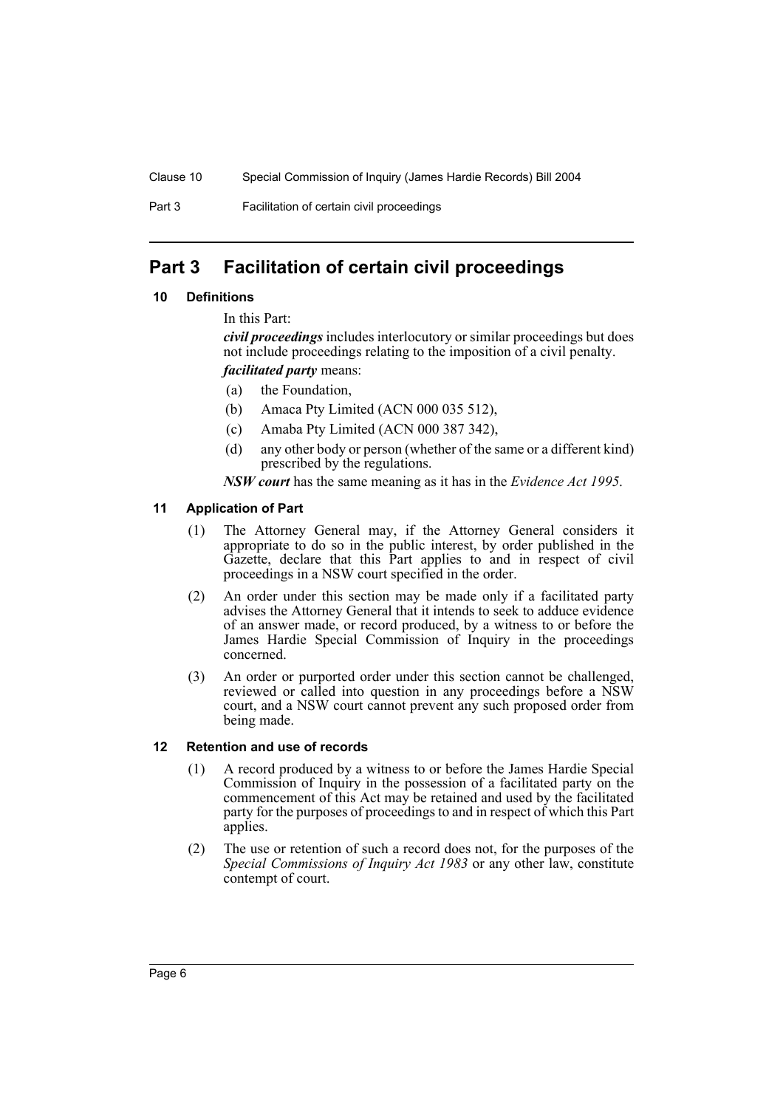Part 3 Facilitation of certain civil proceedings

# **Part 3 Facilitation of certain civil proceedings**

# **10 Definitions**

In this Part:

*civil proceedings* includes interlocutory or similar proceedings but does not include proceedings relating to the imposition of a civil penalty.

*facilitated party* means:

- (a) the Foundation,
- (b) Amaca Pty Limited (ACN 000 035 512),
- (c) Amaba Pty Limited (ACN 000 387 342),
- (d) any other body or person (whether of the same or a different kind) prescribed by the regulations.

*NSW court* has the same meaning as it has in the *Evidence Act 1995*.

# **11 Application of Part**

- (1) The Attorney General may, if the Attorney General considers it appropriate to do so in the public interest, by order published in the Gazette, declare that this Part applies to and in respect of civil proceedings in a NSW court specified in the order.
- (2) An order under this section may be made only if a facilitated party advises the Attorney General that it intends to seek to adduce evidence of an answer made, or record produced, by a witness to or before the James Hardie Special Commission of Inquiry in the proceedings concerned.
- (3) An order or purported order under this section cannot be challenged, reviewed or called into question in any proceedings before a NSW court, and a NSW court cannot prevent any such proposed order from being made.

# **12 Retention and use of records**

- (1) A record produced by a witness to or before the James Hardie Special Commission of Inquiry in the possession of a facilitated party on the commencement of this Act may be retained and used by the facilitated party for the purposes of proceedings to and in respect of which this Part applies.
- (2) The use or retention of such a record does not, for the purposes of the *Special Commissions of Inquiry Act 1983* or any other law, constitute contempt of court.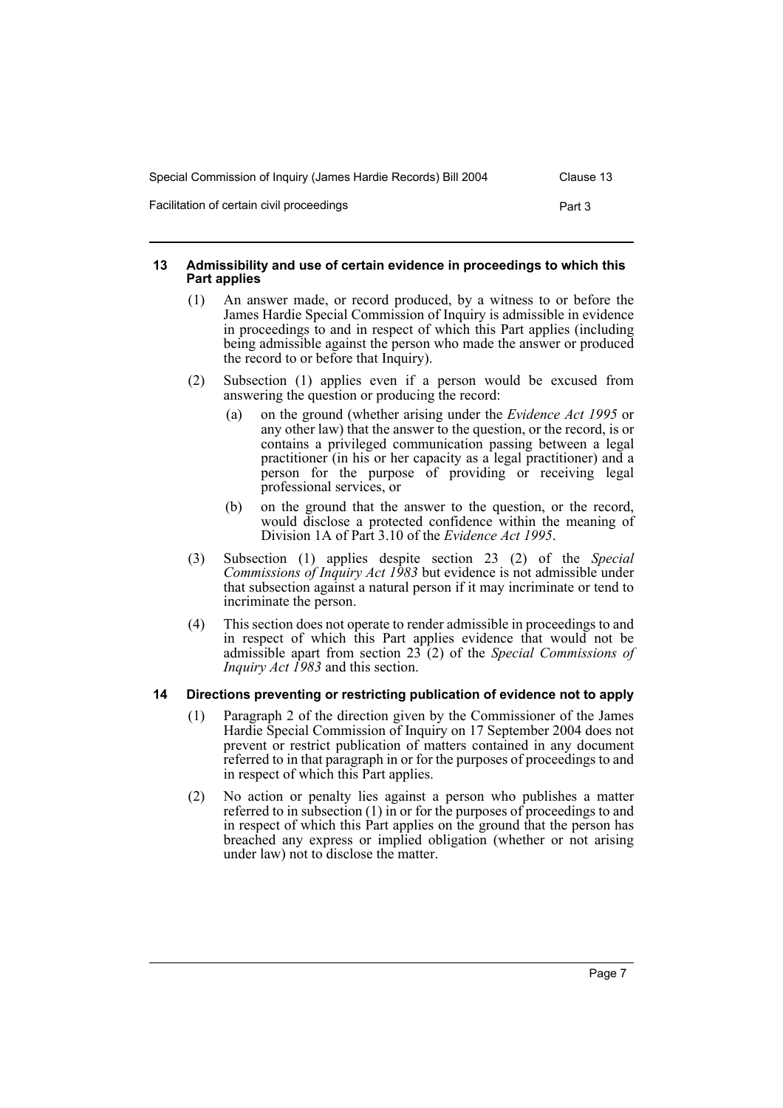| Special Commission of Inquiry (James Hardie Records) Bill 2004 | Clause 13 |
|----------------------------------------------------------------|-----------|
| Facilitation of certain civil proceedings                      | Part 3    |

#### **13 Admissibility and use of certain evidence in proceedings to which this Part applies**

- (1) An answer made, or record produced, by a witness to or before the James Hardie Special Commission of Inquiry is admissible in evidence in proceedings to and in respect of which this Part applies (including being admissible against the person who made the answer or produced the record to or before that Inquiry).
- (2) Subsection (1) applies even if a person would be excused from answering the question or producing the record:
	- (a) on the ground (whether arising under the *Evidence Act 1995* or any other law) that the answer to the question, or the record, is or contains a privileged communication passing between a legal practitioner (in his or her capacity as a legal practitioner) and a person for the purpose of providing or receiving legal professional services, or
	- (b) on the ground that the answer to the question, or the record, would disclose a protected confidence within the meaning of Division 1A of Part 3.10 of the *Evidence Act 1995*.
- (3) Subsection (1) applies despite section 23 (2) of the *Special Commissions of Inquiry Act 1983* but evidence is not admissible under that subsection against a natural person if it may incriminate or tend to incriminate the person.
- (4) This section does not operate to render admissible in proceedings to and in respect of which this Part applies evidence that would not be admissible apart from section 23 (2) of the *Special Commissions of Inquiry Act 1983* and this section.

# **14 Directions preventing or restricting publication of evidence not to apply**

- (1) Paragraph 2 of the direction given by the Commissioner of the James Hardie Special Commission of Inquiry on 17 September 2004 does not prevent or restrict publication of matters contained in any document referred to in that paragraph in or for the purposes of proceedings to and in respect of which this Part applies.
- (2) No action or penalty lies against a person who publishes a matter referred to in subsection (1) in or for the purposes of proceedings to and in respect of which this Part applies on the ground that the person has breached any express or implied obligation (whether or not arising under law) not to disclose the matter.